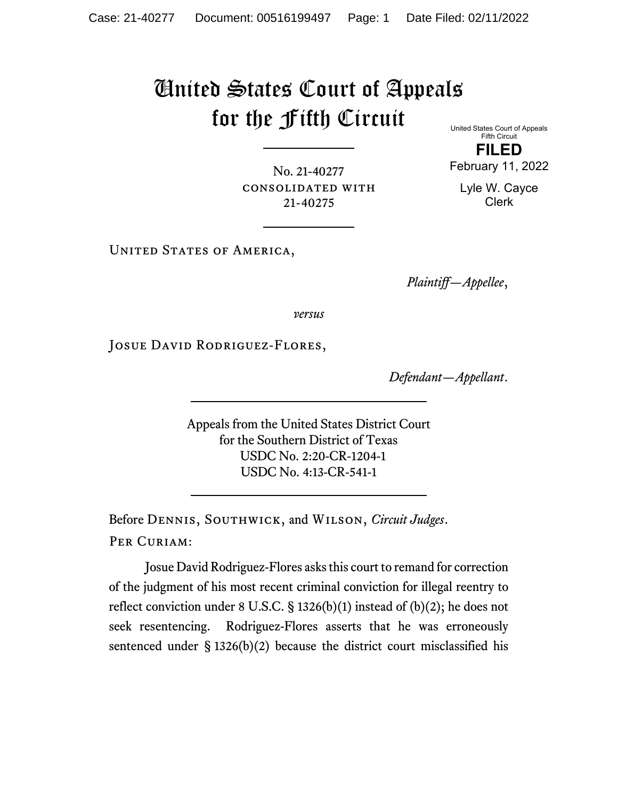# United States Court of Appeals for the Fifth Circuit

United States Court of Appeals Fifth Circuit

**FILED** February 11, 2022

No. 21-40277 consolidated with 21-40275

Lyle W. Cayce Clerk

UNITED STATES OF AMERICA,

*Plaintiff—Appellee*,

*versus*

JOSUE DAVID RODRIGUEZ-FLORES,

*Defendant—Appellant*.

Appeals from the United States District Court for the Southern District of Texas USDC No. 2:20-CR-1204-1 USDC No. 4:13-CR-541-1

Before Dennis, Southwick, and Wilson, *Circuit Judges*. PER CURIAM:

Josue David Rodriguez-Flores asks this court to remand for correction of the judgment of his most recent criminal conviction for illegal reentry to reflect conviction under 8 U.S.C. § 1326(b)(1) instead of (b)(2); he does not seek resentencing. Rodriguez-Flores asserts that he was erroneously sentenced under § 1326(b)(2) because the district court misclassified his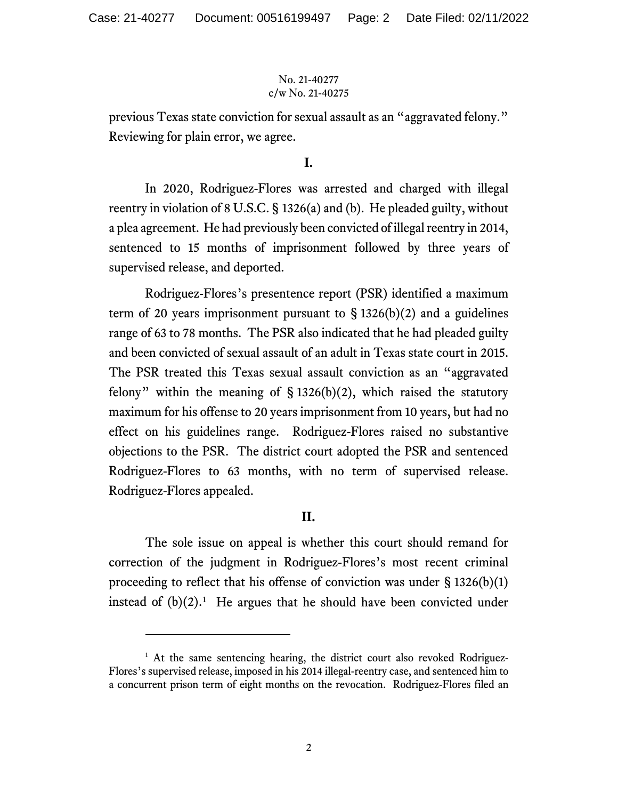previous Texas state conviction for sexual assault as an "aggravated felony." Reviewing for plain error, we agree.

#### **I.**

In 2020, Rodriguez-Flores was arrested and charged with illegal reentry in violation of 8 U.S.C. § 1326(a) and (b). He pleaded guilty, without a plea agreement. He had previously been convicted of illegal reentry in 2014, sentenced to 15 months of imprisonment followed by three years of supervised release, and deported.

Rodriguez-Flores's presentence report (PSR) identified a maximum term of 20 years imprisonment pursuant to  $\S$  1326(b)(2) and a guidelines range of 63 to 78 months. The PSR also indicated that he had pleaded guilty and been convicted of sexual assault of an adult in Texas state court in 2015. The PSR treated this Texas sexual assault conviction as an "aggravated felony" within the meaning of  $\S$  1326(b)(2), which raised the statutory maximum for his offense to 20 years imprisonment from 10 years, but had no effect on his guidelines range. Rodriguez-Flores raised no substantive objections to the PSR. The district court adopted the PSR and sentenced Rodriguez-Flores to 63 months, with no term of supervised release. Rodriguez-Flores appealed.

### **II.**

The sole issue on appeal is whether this court should remand for correction of the judgment in Rodriguez-Flores's most recent criminal proceeding to reflect that his offense of conviction was under  $\S$  1326(b)(1) instead of  $(b)(2)$ .<sup>[1](#page-1-0)</sup> He argues that he should have been convicted under

<span id="page-1-0"></span><sup>&</sup>lt;sup>1</sup> At the same sentencing hearing, the district court also revoked Rodriguez-Flores's supervised release, imposed in his 2014 illegal-reentry case, and sentenced him to a concurrent prison term of eight months on the revocation. Rodriguez-Flores filed an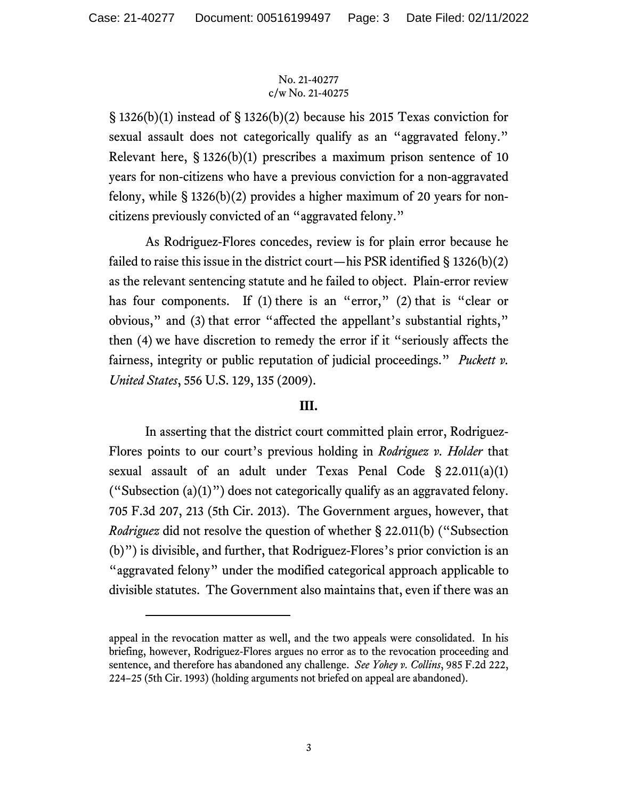§ 1326(b)(1) instead of § 1326(b)(2) because his 2015 Texas conviction for sexual assault does not categorically qualify as an "aggravated felony." Relevant here,  $\S$  1326(b)(1) prescribes a maximum prison sentence of 10 years for non-citizens who have a previous conviction for a non-aggravated felony, while § 1326(b)(2) provides a higher maximum of 20 years for noncitizens previously convicted of an "aggravated felony."

As Rodriguez-Flores concedes, review is for plain error because he failed to raise this issue in the district court—his PSR identified  $\S 1326(b)(2)$ as the relevant sentencing statute and he failed to object. Plain-error review has four components. If (1) there is an "error," (2) that is "clear or obvious," and (3) that error "affected the appellant's substantial rights," then (4) we have discretion to remedy the error if it "seriously affects the fairness, integrity or public reputation of judicial proceedings." *Puckett v. United States*, 556 U.S. 129, 135 (2009).

## **III.**

In asserting that the district court committed plain error, Rodriguez-Flores points to our court's previous holding in *Rodriguez v. Holder* that sexual assault of an adult under Texas Penal Code § 22.011(a)(1) ("Subsection  $(a)(1)$ ") does not categorically qualify as an aggravated felony. 705 F.3d 207, 213 (5th Cir. 2013). The Government argues, however, that *Rodriguez* did not resolve the question of whether § 22.011(b) ("Subsection (b)") is divisible, and further, that Rodriguez-Flores's prior conviction is an "aggravated felony" under the modified categorical approach applicable to divisible statutes. The Government also maintains that, even if there was an

appeal in the revocation matter as well, and the two appeals were consolidated. In his briefing, however, Rodriguez-Flores argues no error as to the revocation proceeding and sentence, and therefore has abandoned any challenge. *See Yohey v. Collins*, 985 F.2d 222, 224–25 (5th Cir. 1993) (holding arguments not briefed on appeal are abandoned).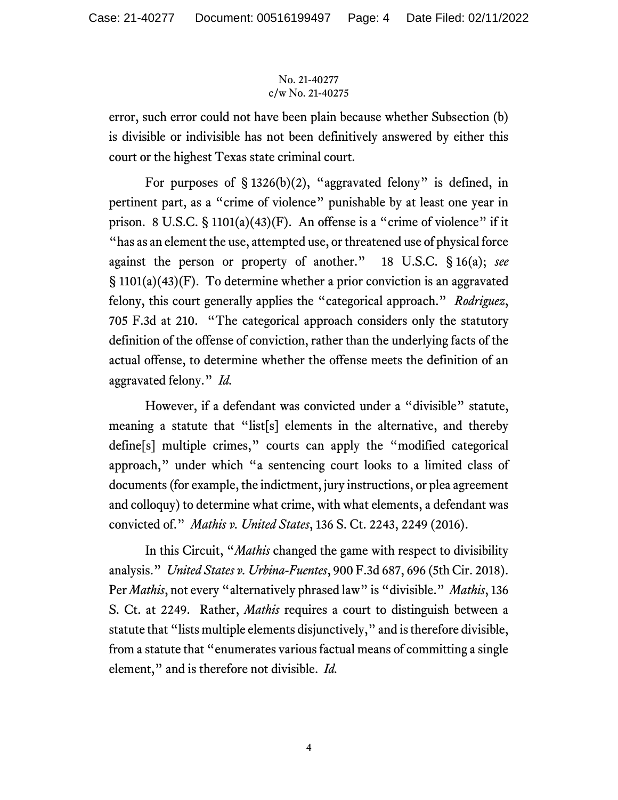error, such error could not have been plain because whether Subsection (b) is divisible or indivisible has not been definitively answered by either this court or the highest Texas state criminal court.

For purposes of  $\S 1326(b)(2)$ , "aggravated felony" is defined, in pertinent part, as a "crime of violence" punishable by at least one year in prison. 8 U.S.C.  $\S$  1101(a)(43)(F). An offense is a "crime of violence" if it "has as an element the use, attempted use, or threatened use of physical force against the person or property of another." 18 U.S.C. § 16(a); *see* § 1101(a)(43)(F). To determine whether a prior conviction is an aggravated felony, this court generally applies the "categorical approach." *Rodriguez*, 705 F.3d at 210. "The categorical approach considers only the statutory definition of the offense of conviction, rather than the underlying facts of the actual offense, to determine whether the offense meets the definition of an aggravated felony." *Id.*

However, if a defendant was convicted under a "divisible" statute, meaning a statute that "list[s] elements in the alternative, and thereby define[s] multiple crimes," courts can apply the "modified categorical approach," under which "a sentencing court looks to a limited class of documents (for example, the indictment, jury instructions, or plea agreement and colloquy) to determine what crime, with what elements, a defendant was convicted of." *Mathis v. United States*, 136 S. Ct. 2243, 2249 (2016).

In this Circuit, "*Mathis* changed the game with respect to divisibility analysis." *United States v. Urbina-Fuentes*, 900 F.3d 687, 696 (5th Cir. 2018). Per *Mathis*, not every "alternatively phrased law" is "divisible." *Mathis*, 136 S. Ct. at 2249. Rather, *Mathis* requires a court to distinguish between a statute that "lists multiple elements disjunctively," and is therefore divisible, from a statute that "enumerates various factual means of committing a single element," and is therefore not divisible. *Id.*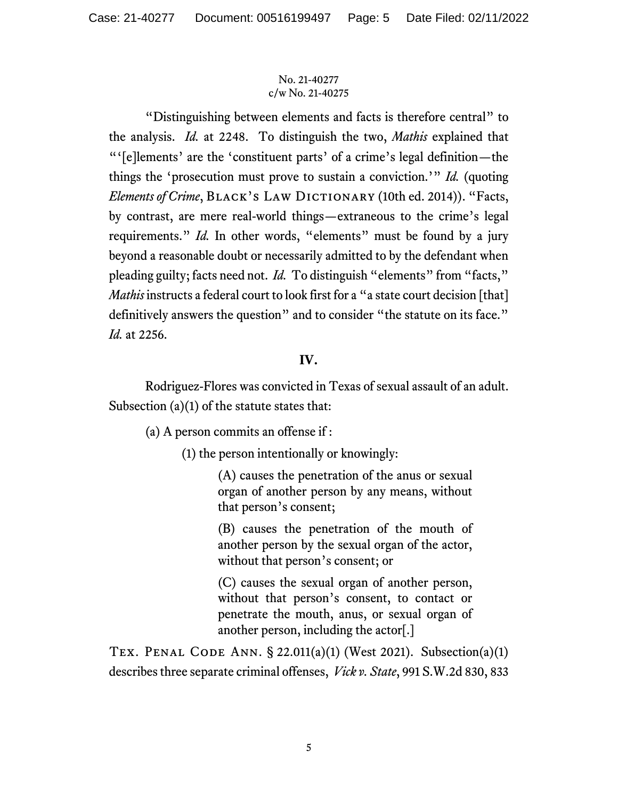"Distinguishing between elements and facts is therefore central" to the analysis. *Id.* at 2248. To distinguish the two, *Mathis* explained that "'[e]lements' are the 'constituent parts' of a crime's legal definition—the things the 'prosecution must prove to sustain a conviction.'" *Id.* (quoting *Elements of Crime*, BLACK's LAW DICTIONARY (10th ed. 2014)). "Facts, by contrast, are mere real-world things—extraneous to the crime's legal requirements." *Id.* In other words, "elements" must be found by a jury beyond a reasonable doubt or necessarily admitted to by the defendant when pleading guilty; facts need not. *Id.* To distinguish "elements" from "facts," *Mathis* instructs a federal court to look first for a "a state court decision [that] definitively answers the question" and to consider "the statute on its face." *Id.* at 2256.

# **IV.**

Rodriguez-Flores was convicted in Texas of sexual assault of an adult. Subsection (a)(1) of the statute states that:

(a) A person commits an offense if :

(1) the person intentionally or knowingly:

(A) causes the penetration of the anus or sexual organ of another person by any means, without that person's consent;

(B) causes the penetration of the mouth of another person by the sexual organ of the actor, without that person's consent; or

(C) causes the sexual organ of another person, without that person's consent, to contact or penetrate the mouth, anus, or sexual organ of another person, including the actor[.]

TEX. PENAL CODE ANN.  $\S$  22.011(a)(1) (West 2021). Subsection(a)(1) describes three separate criminal offenses, *Vick v. State*, 991 S.W.2d 830, 833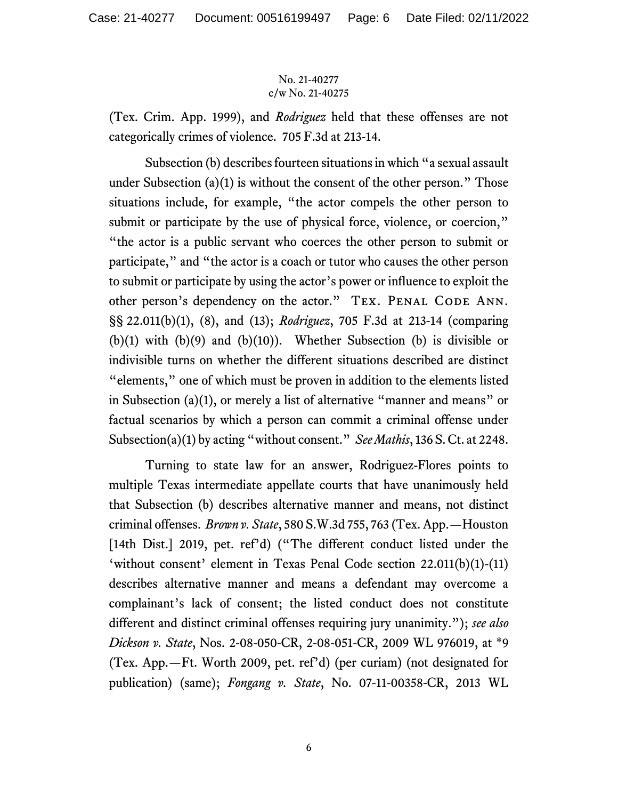(Tex. Crim. App. 1999), and *Rodriguez* held that these offenses are not categorically crimes of violence. 705 F.3d at 213-14.

Subsection (b) describes fourteen situations in which "a sexual assault under Subsection  $(a)(1)$  is without the consent of the other person." Those situations include, for example, "the actor compels the other person to submit or participate by the use of physical force, violence, or coercion," "the actor is a public servant who coerces the other person to submit or participate," and "the actor is a coach or tutor who causes the other person to submit or participate by using the actor's power or influence to exploit the other person's dependency on the actor." TEX. PENAL CODE ANN. §§ 22.011(b)(1), (8), and (13); *Rodriguez*, 705 F.3d at 213-14 (comparing  $(b)(1)$  with  $(b)(9)$  and  $(b)(10)$ ). Whether Subsection (b) is divisible or indivisible turns on whether the different situations described are distinct "elements," one of which must be proven in addition to the elements listed in Subsection (a)(1), or merely a list of alternative "manner and means" or factual scenarios by which a person can commit a criminal offense under Subsection(a)(1) by acting "without consent." *See Mathis*, 136 S. Ct. at 2248.

Turning to state law for an answer, Rodriguez-Flores points to multiple Texas intermediate appellate courts that have unanimously held that Subsection (b) describes alternative manner and means, not distinct criminal offenses. *Brown v. State*, 580 S.W.3d 755, 763 (Tex. App.—Houston [14th Dist.] 2019, pet. ref'd) ("The different conduct listed under the 'without consent' element in Texas Penal Code section 22.011(b)(1)-(11) describes alternative manner and means a defendant may overcome a complainant's lack of consent; the listed conduct does not constitute different and distinct criminal offenses requiring jury unanimity."); *see also Dickson v. State*, Nos. 2-08-050-CR, 2-08-051-CR, 2009 WL 976019, at \*9 (Tex. App.—Ft. Worth 2009, pet. ref'd) (per curiam) (not designated for publication) (same); *Fongang v. State*, No. 07-11-00358-CR, 2013 WL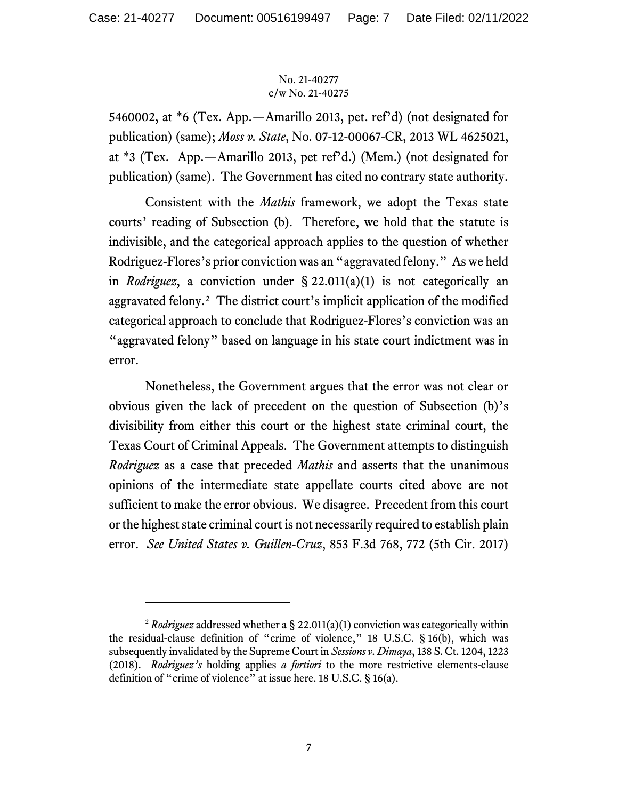5460002, at \*6 (Tex. App.—Amarillo 2013, pet. ref'd) (not designated for publication) (same); *Moss v. State*, No. 07-12-00067-CR, 2013 WL 4625021, at \*3 (Tex. App.—Amarillo 2013, pet ref'd.) (Mem.) (not designated for publication) (same). The Government has cited no contrary state authority.

Consistent with the *Mathis* framework, we adopt the Texas state courts' reading of Subsection (b). Therefore, we hold that the statute is indivisible, and the categorical approach applies to the question of whether Rodriguez-Flores's prior conviction was an "aggravated felony." As we held in *Rodriguez*, a conviction under § 22.011(a)(1) is not categorically an aggravated felony.[2](#page-6-0) The district court's implicit application of the modified categorical approach to conclude that Rodriguez-Flores's conviction was an "aggravated felony" based on language in his state court indictment was in error.

Nonetheless, the Government argues that the error was not clear or obvious given the lack of precedent on the question of Subsection (b)'s divisibility from either this court or the highest state criminal court, the Texas Court of Criminal Appeals. The Government attempts to distinguish *Rodriguez* as a case that preceded *Mathis* and asserts that the unanimous opinions of the intermediate state appellate courts cited above are not sufficient to make the error obvious. We disagree. Precedent from this court or the highest state criminal court is not necessarily required to establish plain error. *See United States v. Guillen-Cruz*, 853 F.3d 768, 772 (5th Cir. 2017)

<span id="page-6-0"></span><sup>2</sup> *Rodriguez* addressed whether a § 22.011(a)(1) conviction was categorically within the residual-clause definition of "crime of violence," 18 U.S.C. § 16(b), which was subsequently invalidated by the Supreme Court in *Sessions v. Dimaya*, 138 S. Ct. 1204, 1223 (2018). *Rodriguez's* holding applies *a fortiori* to the more restrictive elements-clause definition of "crime of violence" at issue here. 18 U.S.C. § 16(a).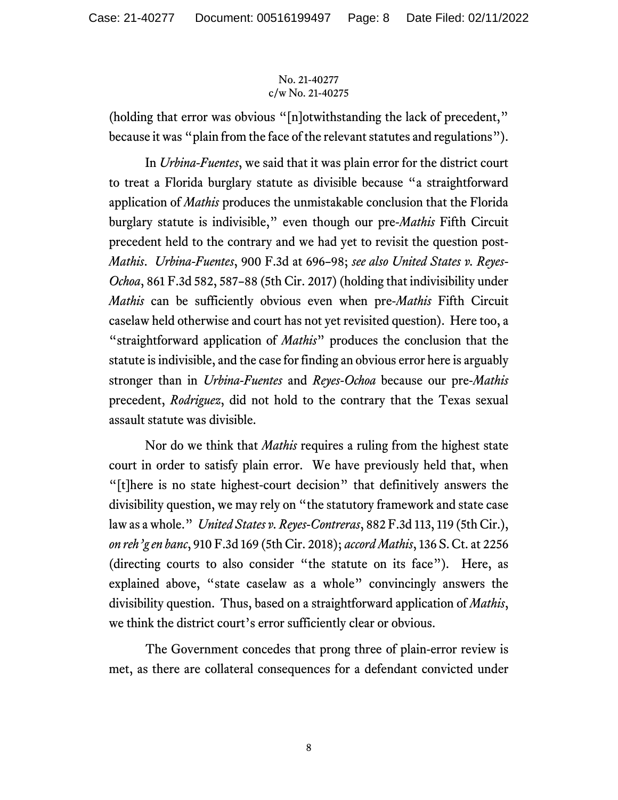(holding that error was obvious "[n]otwithstanding the lack of precedent," because it was "plain from the face of the relevant statutes and regulations").

In *Urbina-Fuentes*, we said that it was plain error for the district court to treat a Florida burglary statute as divisible because "a straightforward application of *Mathis* produces the unmistakable conclusion that the Florida burglary statute is indivisible," even though our pre-*Mathis* Fifth Circuit precedent held to the contrary and we had yet to revisit the question post-*Mathis*. *Urbina-Fuentes*, 900 F.3d at 696–98; *see also United States v. Reyes-Ochoa*, 861 F.3d 582, 587–88 (5th Cir. 2017) (holding that indivisibility under *Mathis* can be sufficiently obvious even when pre-*Mathis* Fifth Circuit caselaw held otherwise and court has not yet revisited question). Here too, a "straightforward application of *Mathis*" produces the conclusion that the statute is indivisible, and the case for finding an obvious error here is arguably stronger than in *Urbina-Fuentes* and *Reyes-Ochoa* because our pre-*Mathis* precedent, *Rodriguez*, did not hold to the contrary that the Texas sexual assault statute was divisible.

Nor do we think that *Mathis* requires a ruling from the highest state court in order to satisfy plain error. We have previously held that, when "[t]here is no state highest-court decision" that definitively answers the divisibility question, we may rely on "the statutory framework and state case law as a whole." *United States v. Reyes-Contreras*, 882 F.3d 113, 119 (5th Cir.), *on reh'g en banc*, 910 F.3d 169 (5th Cir. 2018); *accord Mathis*, 136 S. Ct. at 2256 (directing courts to also consider "the statute on its face"). Here, as explained above, "state caselaw as a whole" convincingly answers the divisibility question. Thus, based on a straightforward application of *Mathis*, we think the district court's error sufficiently clear or obvious.

The Government concedes that prong three of plain-error review is met, as there are collateral consequences for a defendant convicted under